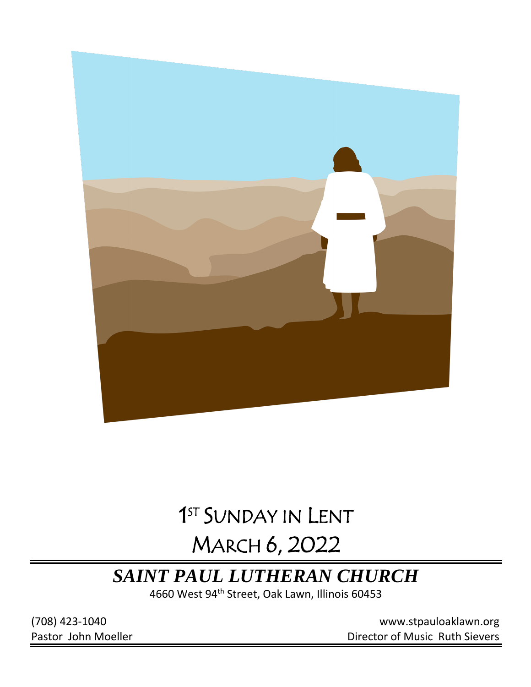

# 1 ST SUNDAY IN LENT

# MARCH 6, 2022

## *SAINT PAUL LUTHERAN CHURCH*

4660 West 94<sup>th</sup> Street, Oak Lawn, Illinois 60453

(708) 423-1040 [www.stpauloaklawn.org](about:blank) Pastor John Moeller **Director of Music Ruth Sievers**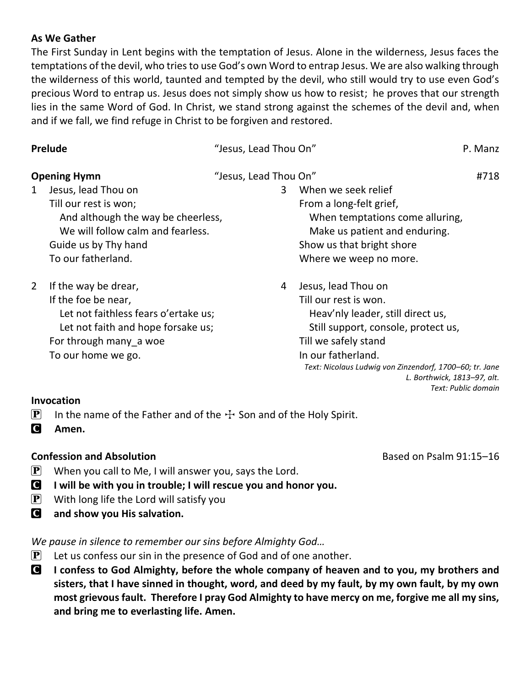#### **As We Gather**

The First Sunday in Lent begins with the temptation of Jesus. Alone in the wilderness, Jesus faces the temptations of the devil, who tries to use God's own Word to entrap Jesus. We are also walking through the wilderness of this world, taunted and tempted by the devil, who still would try to use even God's precious Word to entrap us. Jesus does not simply show us how to resist; he proves that our strength lies in the same Word of God. In Christ, we stand strong against the schemes of the devil and, when and if we fall, we find refuge in Christ to be forgiven and restored.

| "Jesus, Lead Thou On"<br><b>Opening Hymn</b><br>Jesus, lead Thou on<br>When we seek relief<br>3<br>$\mathbf{1}$<br>Till our rest is won;<br>From a long-felt grief,<br>And although the way be cheerless,<br>When temptations come alluring,<br>We will follow calm and fearless.<br>Make us patient and enduring.<br>Show us that bright shore<br>Guide us by Thy hand<br>To our fatherland.<br>Where we weep no more.<br>$\overline{2}$<br>If the way be drear,<br>Jesus, lead Thou on<br>4<br>If the foe be near,<br>Till our rest is won.<br>Let not faithless fears o'ertake us;<br>Heav'nly leader, still direct us,<br>Let not faith and hope forsake us;<br>Still support, console, protect us,<br>Till we safely stand<br>For through many a woe<br>In our fatherland.<br>To our home we go.<br>Text: Nicolaus Ludwig von Zinzendorf, 1700-60; tr. Jane<br>L. Borthwick, 1813-97, alt. | Prelude | "Jesus, Lead Thou On" | P. Manz |
|-------------------------------------------------------------------------------------------------------------------------------------------------------------------------------------------------------------------------------------------------------------------------------------------------------------------------------------------------------------------------------------------------------------------------------------------------------------------------------------------------------------------------------------------------------------------------------------------------------------------------------------------------------------------------------------------------------------------------------------------------------------------------------------------------------------------------------------------------------------------------------------------------|---------|-----------------------|---------|
|                                                                                                                                                                                                                                                                                                                                                                                                                                                                                                                                                                                                                                                                                                                                                                                                                                                                                                 |         |                       | #718    |
|                                                                                                                                                                                                                                                                                                                                                                                                                                                                                                                                                                                                                                                                                                                                                                                                                                                                                                 |         |                       |         |
| Text: Public domain                                                                                                                                                                                                                                                                                                                                                                                                                                                                                                                                                                                                                                                                                                                                                                                                                                                                             |         |                       |         |

#### **Invocation**

**P** In the name of the Father and of the  $\pm$  Son and of the Holy Spirit.

C **Amen.**

#### **Confession and Absolution Based on Psalm 91:15–16**

- **P** When you call to Me, I will answer you, says the Lord.
- C **I will be with you in trouble; I will rescue you and honor you.**
- $\left| \mathbf{P} \right|$  With long life the Lord will satisfy you
- C **and show you His salvation.**

### *We pause in silence to remember our sins before Almighty God…*

- $\left| \mathbf{P} \right|$  Let us confess our sin in the presence of God and of one another.
- C **I confess to God Almighty, before the whole company of heaven and to you, my brothers and sisters, that I have sinned in thought, word, and deed by my fault, by my own fault, by my own most grievous fault. Therefore I pray God Almighty to have mercy on me, forgive me all my sins, and bring me to everlasting life. Amen.**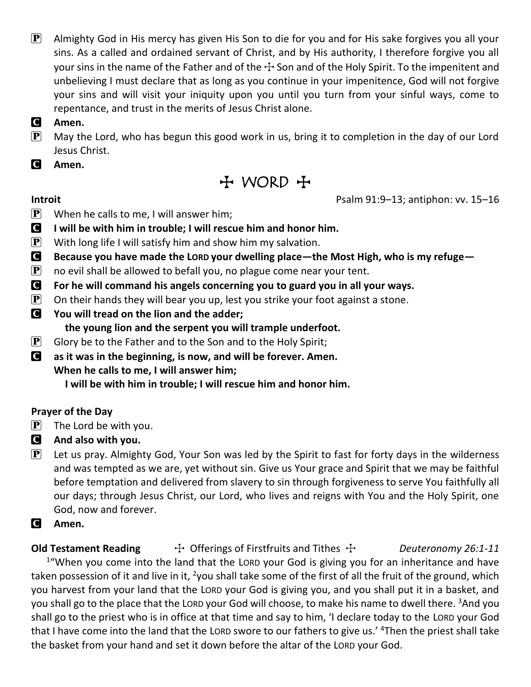$\mathbf{P}$  Almighty God in His mercy has given His Son to die for you and for His sake forgives you all your sins. As a called and ordained servant of Christ, and by His authority, I therefore forgive you all your sins in the name of the Father and of the  $\pm$  Son and of the Holy Spirit. To the impenitent and unbelieving I must declare that as long as you continue in your impenitence, God will not forgive your sins and will visit your iniquity upon you until you turn from your sinful ways, come to repentance, and trust in the merits of Jesus Christ alone.

#### C **Amen.**

 $\mathbf{P}$  May the Lord, who has begun this good work in us, bring it to completion in the day of our Lord Jesus Christ.

C **Amen.**

T WORD T

**Introit Psalm 91:9–13; antiphon: vv. 15–16** 

- **P** When he calls to me, I will answer him;
- C **I will be with him in trouble; I will rescue him and honor him.**
- **P** With long life I will satisfy him and show him my salvation.
- C **Because you have made the LORD your dwelling place—the Most High, who is my refuge—**
- $\mathbf{P}$  no evil shall be allowed to befall you, no plague come near your tent.
- C **For he will command his angels concerning you to guard you in all your ways.**
- **P** On their hands they will bear you up, lest you strike your foot against a stone.
- C **You will tread on the lion and the adder; the young lion and the serpent you will trample underfoot.**
- $\mathbf{P}$  Glory be to the Father and to the Son and to the Holy Spirit;
- C **as it was in the beginning, is now, and will be forever. Amen. When he calls to me, I will answer him;**

**I will be with him in trouble; I will rescue him and honor him.**

### **Prayer of the Day**

- $\left| \mathbf{P} \right|$  The Lord be with you.
- C **And also with you.**
- $\left[\mathbf{P}\right]$  Let us pray. Almighty God, Your Son was led by the Spirit to fast for forty days in the wilderness and was tempted as we are, yet without sin. Give us Your grace and Spirit that we may be faithful before temptation and delivered from slavery to sin through forgiveness to serve You faithfully all our days; through Jesus Christ, our Lord, who lives and reigns with You and the Holy Spirit, one God, now and forever.
- C **Amen.**

**Old Testament Reading**  $\rightarrow$  Offerings of Firstfruits and Tithes  $\rightarrow$  *Deuteronomy 26:1-11* <sup>1</sup>"When you come into the land that the LORD your God is giving you for an inheritance and have taken possession of it and live in it, <sup>2</sup>you shall take some of the first of all the fruit of the ground, which you harvest from your land that the LORD your God is giving you, and you shall put it in a basket, and you shall go to the place that the LORD your God will choose, to make his name to dwell there. <sup>3</sup>And you shall go to the priest who is in office at that time and say to him, 'I declare today to the LORD your God that I have come into the land that the LORD swore to our fathers to give us.' <sup>4</sup>Then the priest shall take the basket from your hand and set it down before the altar of the LORD your God.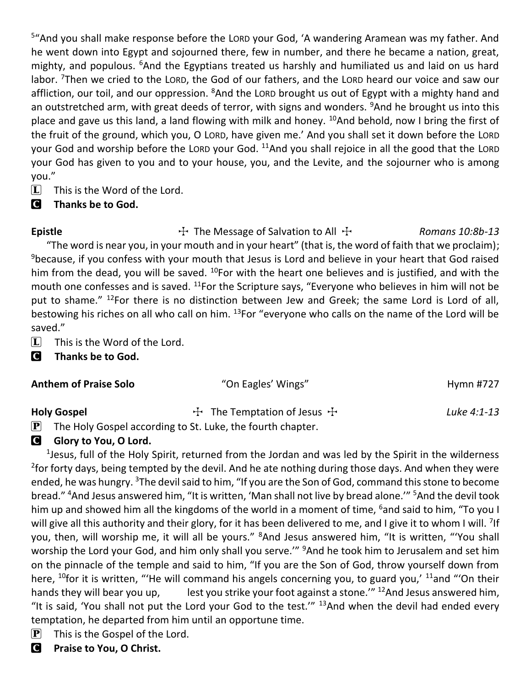<sup>5</sup>"And you shall make response before the LORD your God, 'A wandering Aramean was my father. And he went down into Egypt and sojourned there, few in number, and there he became a nation, great, mighty, and populous. <sup>6</sup>And the Egyptians treated us harshly and humiliated us and laid on us hard labor. <sup>7</sup>Then we cried to the LORD, the God of our fathers, and the LORD heard our voice and saw our affliction, our toil, and our oppression. <sup>8</sup>And the LORD brought us out of Egypt with a mighty hand and an outstretched arm, with great deeds of terror, with signs and wonders. <sup>9</sup>And he brought us into this place and gave us this land, a land flowing with milk and honey.  $^{10}$ And behold, now I bring the first of the fruit of the ground, which you, O LORD, have given me.' And you shall set it down before the LORD your God and worship before the LORD your God. <sup>11</sup>And you shall rejoice in all the good that the LORD your God has given to you and to your house, you, and the Levite, and the sojourner who is among you."

 $\boxed{\mathbf{L}}$  This is the Word of the Lord.

### C **Thanks be to God.**

Epistle **The Message of Salvation to All +** *Romans 10:8b-13*  "The word is near you, in your mouth and in your heart" (that is, the word of faith that we proclaim); <sup>9</sup> because, if you confess with your mouth that Jesus is Lord and believe in your heart that God raised him from the dead, you will be saved.  $^{10}$ For with the heart one believes and is justified, and with the mouth one confesses and is saved.  $^{11}$  For the Scripture says, "Everyone who believes in him will not be put to shame." <sup>12</sup>For there is no distinction between Jew and Greek; the same Lord is Lord of all, bestowing his riches on all who call on him. <sup>13</sup>For "everyone who calls on the name of the Lord will be saved."

 $\boxed{\mathbf{L}}$  This is the Word of the Lord.

C **Thanks be to God.**

| <b>Anthem of Praise Solo</b>                    | "On Eagles' Wings"                    | Hymn #727   |  |
|-------------------------------------------------|---------------------------------------|-------------|--|
| <b>Holy Gospel</b><br>$\mathbf{E}$ $\mathbf{E}$ | $\div$ The Temptation of Jesus $\div$ | Luke 4:1-13 |  |

### $\mathbf{P}$  The Holy Gospel according to St. Luke, the fourth chapter.

### **G** Glory to You, O Lord.

<sup>1</sup>Jesus, full of the Holy Spirit, returned from the Jordan and was led by the Spirit in the wilderness <sup>2</sup>for forty days, being tempted by the devil. And he ate nothing during those days. And when they were ended, he was hungry. <sup>3</sup>The devil said to him, "If you are the Son of God, command this stone to become bread." <sup>4</sup>And Jesus answered him, "It is written, 'Man shall not live by bread alone.'" <sup>5</sup>And the devil took him up and showed him all the kingdoms of the world in a moment of time, <sup>6</sup>and said to him, "To you I will give all this authority and their glory, for it has been delivered to me, and I give it to whom I will. <sup>7</sup>If you, then, will worship me, it will all be yours." <sup>8</sup>And Jesus answered him, "It is written, "'You shall worship the Lord your God, and him only shall you serve." <sup>9</sup>And he took him to Jerusalem and set him on the pinnacle of the temple and said to him, "If you are the Son of God, throw yourself down from here,  $^{10}$ for it is written, "'He will command his angels concerning you, to guard you,'  $^{11}$ and "'On their hands they will bear you up, lest you strike your foot against a stone.<sup>""</sup> <sup>12</sup>And Jesus answered him, "It is said, 'You shall not put the Lord your God to the test."  $13$ And when the devil had ended every temptation, he departed from him until an opportune time.

- $\left| \mathbf{P} \right|$  This is the Gospel of the Lord.
- C **Praise to You, O Christ.**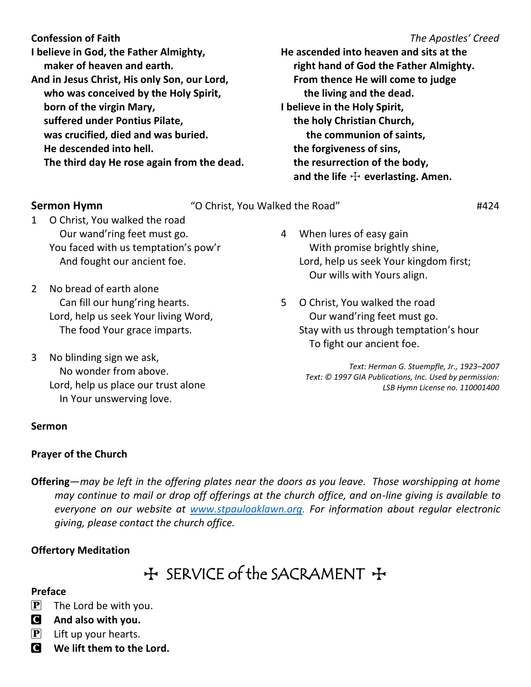**Confession of Faith** *The Apostles' Creed* **I believe in God, the Father Almighty, maker of heaven and earth. And in Jesus Christ, His only Son, our Lord, who was conceived by the Holy Spirit, born of the virgin Mary, suffered under Pontius Pilate, was crucified, died and was buried. He descended into hell.**

**He ascended into heaven and sits at the right hand of God the Father Almighty. From thence He will come to judge the living and the dead. I believe in the Holy Spirit, the holy Christian Church, the communion of saints, the forgiveness of sins, the resurrection of the body,** and the life  $\pm$  everlasting. Amen.

|           | Sermon Hymn                                                                                                                       | "O Christ, You Walked the Road"                                                                                                           | #424 |
|-----------|-----------------------------------------------------------------------------------------------------------------------------------|-------------------------------------------------------------------------------------------------------------------------------------------|------|
| $1 \quad$ | O Christ, You walked the road<br>Our wand'ring feet must go.<br>You faced with us temptation's pow'r                              | When lures of easy gain<br>4<br>With promise brightly shine,                                                                              |      |
|           | And fought our ancient foe.                                                                                                       | Lord, help us seek Your kingdom first;<br>Our wills with Yours align.                                                                     |      |
| 2         | No bread of earth alone<br>Can fill our hung'ring hearts.<br>Lord, help us seek Your living Word,<br>The food Your grace imparts. | O Christ, You walked the road<br>5.<br>Our wand'ring feet must go.<br>Stay with us through temptation's hour<br>To fight our ancient foe. |      |
| 3         | No blinding sign we ask,                                                                                                          |                                                                                                                                           |      |

*Text: Herman G. Stuempfle, Jr., 1923–2007 Text: © 1997 GIA Publications, Inc. Used by permission: LSB Hymn License no. 110001400*

 **The third day He rose again from the dead.**

- $2 N$  Can fill our hung'ring hearts. Lord, help us seek Your living Word, The food Your grace imparts.
- 3 No blinding sign we ask, No wonder from above. Lord, help us place our trust alone In Your unswerving love.

#### **Sermon**

#### **Prayer of the Church**

**Offering**—*may be left in the offering plates near the doors as you leave. Those worshipping at home may continue to mail or drop off offerings at the church office, and on-line giving is available to everyone on our website at [www.stpauloaklawn.org.](http://www.stpauloaklawn.org/) For information about regular electronic giving, please contact the church office.* 

#### **Offertory Meditation**

## + SERVICE of the SACRAMENT +

#### **Preface**

- $\left| \mathbf{P} \right|$  The Lord be with you.
- C **And also with you.**
- $\left| \mathbf{P} \right|$  Lift up your hearts.
- C **We lift them to the Lord.**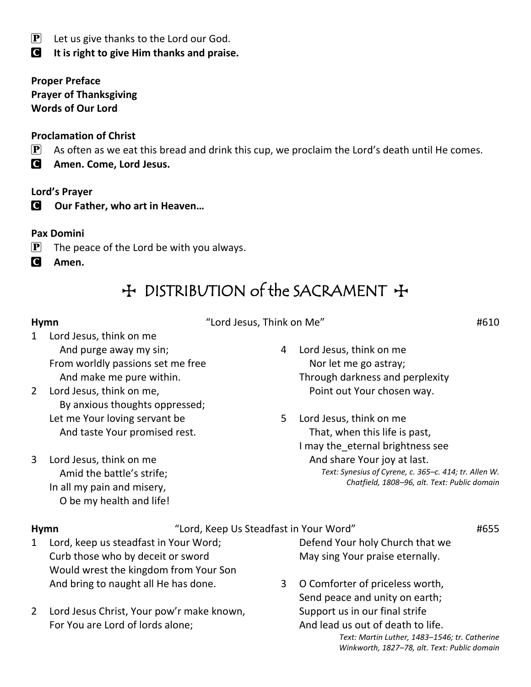$\left| \mathbf{P} \right|$  Let us give thanks to the Lord our God.

C **It is right to give Him thanks and praise.**

**Proper Preface Prayer of Thanksgiving Words of Our Lord**

#### **Proclamation of Christ**

 $[P]$  As often as we eat this bread and drink this cup, we proclaim the Lord's death until He comes.

C **Amen. Come, Lord Jesus.**

#### **Lord's Prayer**

C **Our Father, who art in Heaven…**

#### **Pax Domini**

- $\mathbf{P}$  The peace of the Lord be with you always.
- C **Amen.**

## + DISTRIBUTION of the SACRAMENT +

#### **Hymn** "Lord Jesus, Think on Me" #610

- 1 Lord Jesus, think on me And purge away my sin; From worldly passions set me free And make me pure within.
- 2 Lord Jesus, think on me, By anxious thoughts oppressed; Let me Your loving servant be And taste Your promised rest.
- 3 Lord Jesus, think on me Amid the battle's strife; In all my pain and misery, O be my health and life!
- 4 Lord Jesus, think on me Nor let me go astray; Through darkness and perplexity Point out Your chosen way.
- 5 Lord Jesus, think on me That, when this life is past, I may the\_eternal brightness see And share Your joy at last. *Text: Synesius of Cyrene, c. 365–c. 414; tr. Allen W. Chatfield, 1808–96, alt. Text: Public domain*

#### **Hymn**  $\qquad$  "Lord, Keep Us Steadfast in Your Word"  $\qquad$  #655

- 1 Lord, keep us steadfast in Your Word; Curb those who by deceit or sword Would wrest the kingdom from Your Son And bring to naught all He has done.
- 2 Lord Jesus Christ, Your pow'r make known, For You are Lord of lords alone;

Defend Your holy Church that we May sing Your praise eternally.

3 O Comforter of priceless worth, Send peace and unity on earth; Support us in our final strife And lead us out of death to life. *Text: Martin Luther, 1483–1546; tr. Catherine Winkworth, 1827–78, alt. Text: Public domain*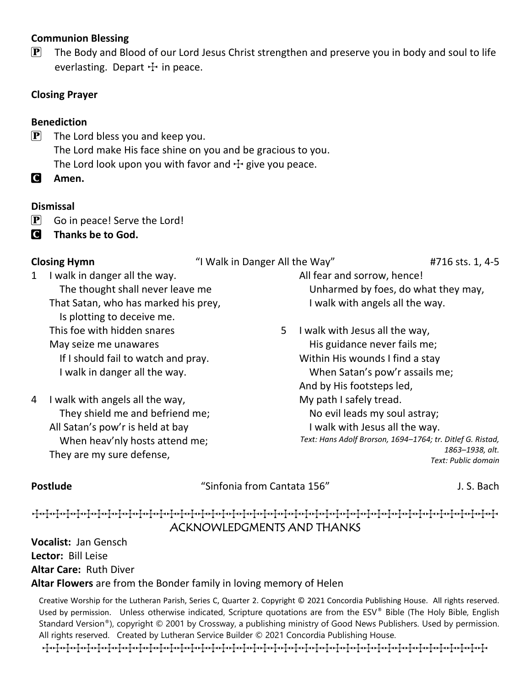#### **Communion Blessing**

 $\mathbf{P}$  The Body and Blood of our Lord Jesus Christ strengthen and preserve you in body and soul to life everlasting. Depart  $+$  in peace.

#### **Closing Prayer**

#### **Benediction**

 $\left[ P \right]$  The Lord bless you and keep you. The Lord make His face shine on you and be gracious to you. The Lord look upon you with favor and  $\pm$  give you peace.

C **Amen.**

#### **Dismissal**

- $\mathbf{P}$  Go in peace! Serve the Lord!
- C **Thanks be to God.**

**Closing Hymn** "I Walk in Danger All the Way" #716 sts. 1, 4-5

1 I walk in danger all the way. The thought shall never leave me That Satan, who has marked his prey, Is plotting to deceive me. This foe with hidden snares May seize me unawares If I should fail to watch and pray. I walk in danger all the way.

4 I walk with angels all the way, They shield me and befriend me; All Satan's pow'r is held at bay When heav'nly hosts attend me; They are my sure defense,

All fear and sorrow, hence! Unharmed by foes, do what they may, I walk with angels all the way.

5 I walk with Jesus all the way, His guidance never fails me; Within His wounds I find a stay When Satan's pow'r assails me; And by His footsteps led, My path I safely tread. No evil leads my soul astray; I walk with Jesus all the way. *Text: Hans Adolf Brorson, 1694–1764; tr. Ditlef G. Ristad, 1863–1938, alt. Text: Public domain*

**Postlude** The State of the Superinten of the Sinfonia from Cantata 156" The State of State of J. S. Bach

### TTTTTTTTTTTTTTTTTTTTTTTTTTTTTTTTTTTTTTTTTTTTT ACKNOWLEDGMENTS AND THANKS

**Vocalist:** Jan Gensch **Lector:** Bill Leise **Altar Care:** Ruth Diver **Altar Flowers** are from the Bonder family in loving memory of Helen

Creative Worship for the Lutheran Parish, Series C, Quarter 2. Copyright © 2021 Concordia Publishing House. All rights reserved. Used by permission. Unless otherwise indicated, Scripture quotations are from the ESV® Bible (The Holy Bible, English Standard Version®), copyright © 2001 by Crossway, a publishing ministry of Good News Publishers. Used by permission. All rights reserved. Created by Lutheran Service Builder © 2021 Concordia Publishing House.

TTTTTTTTTTTTTTTTTTTTTTTTTTTTTTTTTTTTTTTTTTT